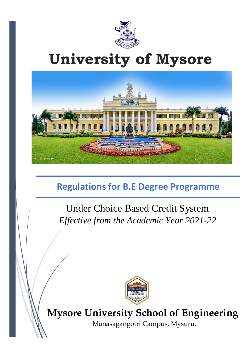

# **University of Mysore**



# **Regulations for B.E Degree Programme**

Under Choice Based Credit System *Effective from the Academic Year 2021-22*



# **Mysore University School of Engineering**

Manasagangotri Campus, Mysuru.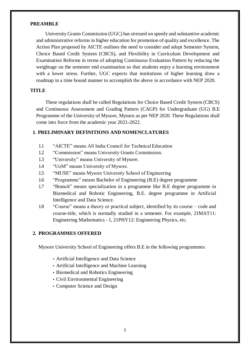#### **PREAMBLE**

University Grants Commission (UGC) has stressed on speedy and substantive academic and administrative reforms in higher education for promotion of quality and excellence. The Action Plan proposed by AICTE outlines the need to consider and adopt Semester System, Choice Based Credit System (CBCS), and Flexibility in Curriculum Development and Examination Reforms in terms of adopting Continuous Evaluation Pattern by reducing the weightage on the semester end examination so that students enjoy a learning environment with a lower stress. Further, UGC expects that institutions of higher learning draw a roadmap in a time bound manner to accomplish the above in accordance with NEP 2020.

#### **TITLE**

These regulations shall be called Regulations for Choice Based Credit System (CBCS) and Continuous Assessment and Grading Pattern (CAGP) for Undergraduate (UG) B.E Programme of the University of Mysore, Mysuru as per NEP 2020. These Regulations shall come into force from the academic year 2021-2022.

#### **1. PRELIMINARY DEFINITIONS AND NOMENCLATURES**

- 1.1 "AICTE" means All India Council for Technical Education
- 1.2 "Commission" means University Grants Commission.
- 1.3 "University" means University of Mysore.
- 1.4 "UoM" means University of Mysore.
- 1.5 "MUSE" means Mysore University School of Engineering
- 1.6 "Programme" means Bachelor of Engineering (B.E) degree programme
- 1.7 "Branch" means specialization in a programme like B.E degree programme in Biomedical and Robotic Engineering, B.E. degree programme in Artificial Intelligence and Data Science.
- 1.8 "Course" means a theory or practical subject, identified by its course code and course-title, which is normally studied in a semester. For example, 21MAT11: Engineering Mathematics - I, 21PHY12: Engineering Physics, etc.

### **2. PROGRAMMES OFFERED**

Mysore University School of Engineering offers B.E in the following programmes:

- Artificial Intelligence and Data Science
- Artificial Intelligence and Machine Learning
- Biomedical and Robotics Engineering
- Civil Environmental Engineering
- Computer Science and Design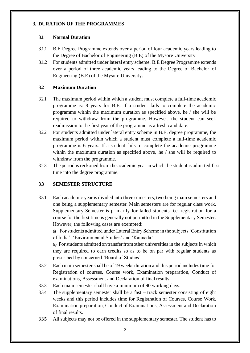#### **3. DURATION OF THE PROGRAMMES**

# **3.1 Normal Duration**

- 3.1.1 B.E Degree Programme extends over a period of four academic years leading to the Degree of Bachelor of Engineering (B.E) of the Mysore University
- 3.1.2 For students admitted under lateral entry scheme, B.E Degree Programme extends over a period of three academic years leading to the Degree of Bachelor of Engineering (B.E) of the Mysore University.

### **3.2 Maximum Duration**

- 3.2.1 The maximum period within which a student must complete a full-time academic programme is: 8 years for B.E. If a student fails to complete the academic programme within the maximum duration as specified above, he / she will be required to withdraw from the programme. However, the student can seek readmission to the first year of the programme as a fresh candidate.
- 3.2.2 For students admitted under lateral entry scheme in B.E. degree programme, the maximum period within which a student must complete a full-time academic programme is 6 years. If a student fails to complete the academic programme within the maximum duration as specified above, he / she will be required to withdraw from the programme.
- 3.2.3 The period is reckoned from the academic year in which the student is admitted first time into the degree programme.

# **3.3 SEMESTER STRUCTURE**

3.3.1 Each academic year is divided into three semesters, two being main semesters and one being a supplementary semester. Main semesters are for regular class work. Supplementary Semester is primarily for failed students. i.e. registration for a course for the first time is generally not permitted in the Supplementary Semester. However, the following cases are exempted:

(i) For students admitted under Lateral Entry Scheme in the subjects 'Constitution of India', 'Environmental Studies' and 'Kannada'

(ii) Forstudents admittedontransferfromother universities in the subjects in which they are required to earn credits so as to be on par with regular students as prescribed by concerned 'Board of Studies'.

- 3.3.2 Each main semester shall be of 19 weeks duration and this period includestime for Registration of courses, Course work, Examination preparation, Conduct of examinations, Assessment and Declaration of final results.
- 3.3.3 Each main semester shall have a minimum of 90 working days.
- 3.3.4 The supplementary semester shall be a fast track semester consisting of eight weeks and this period includes time for Registration of Courses, Course Work, Examination preparation, Conduct of Examinations, Assessment and Declaration of final results.
- **3.3.5** All subjects may not be offered in the supplementary semester. The student has to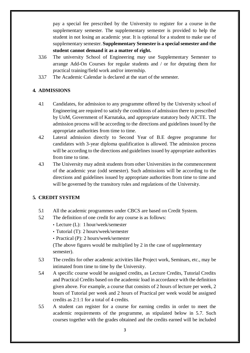pay a special fee prescribed by the University to register for a course in the supplementary semester. The supplementary semester is provided to help the student in not losing an academic year. It is optional for a student to make use of supplementary semester. **Supplementary Semester is a special semester and the student cannot demand it as a matter of right.**

- 3.3.6 The university School of Engineering may use Supplementary Semester to arrange Add-On Courses for regular students and / or for deputing them for practical training/field work and/or internship.
- 3.3.7 The Academic Calendar is declared at the start of the semester.

# **4. ADMISSIONS**

- 4.1 Candidates, for admission to any programme offered by the University school of Engineering are required to satisfy the conditions of admission there to prescribed by UoM, Government of Karnataka, and appropriate statutory body AICTE. The admission process will be according to the directions and guidelines issued by the appropriate authorities from time to time.
- 4.2 Lateral admission directly to Second Year of B.E degree programme for candidates with 3-year diploma qualification is allowed. The admission process will be according to the directions and guidelines issued by appropriate authorities from time to time.
- 4.3 The University may admit students from other Universities in the commencement of the academic year (odd semester). Such admissions will be according to the directions and guidelines issued by appropriate authorities from time to time and will be governed by the transitory rules and regulations of the University.

# **5. CREDIT SYSTEM**

- 5.1 All the academic programmes under CBCS are based on Credit System.
- 5.2 The definition of one credit for any course is as follows:
	- Lecture (L): 1 hour/week/semester
	- Tutorial (T): 2 hours/week/semester
	- Practical (P): 2 hours/week/semester

(The above figures would be multiplied by 2 in the case of supplementary semester).

- 5.3 The credits for other academic activities like Project work, Seminars, etc., may be intimated from time to time by the University.
- 5.4 A specific course would be assigned credits, as Lecture Credits, Tutorial Credits and Practical Credits based on the academic load in accordance with the definition given above. For example, a course that consists of 2 hours of lecture per week, 2 hours of Tutorial per week and 2 hours of Practical per week would be assigned credits as 2:1:1 for a total of 4 credits.
- 5.5 A student can register for a course for earning credits in order to meet the academic requirements of the programme, as stipulated below in 5.7. Such courses together with the grades obtained and the credits earned will be included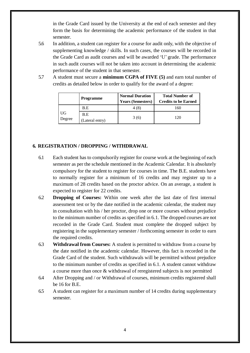in the Grade Card issued by the University at the end of each semester and they form the basis for determining the academic performance of the student in that semester.

- 5.6 In addition, a student can register for a course for audit only, with the objective of supplementing knowledge / skills. In such cases, the courses will be recorded in the Grade Card as audit courses and will be awarded 'U' grade. The performance in such audit courses will not be taken into account in determining the academic performance of the student in that semester.
- 5.7 A student must secure a **minimum CGPA of FIVE (5)** and earn total number of credits as detailed below in order to qualify for the award of a degree:

|              | Programme              | <b>Normal Duration</b><br><b>Years (Semesters)</b> | <b>Total Number of</b><br><b>Credits to be Earned</b> |  |  |
|--------------|------------------------|----------------------------------------------------|-------------------------------------------------------|--|--|
|              | B.E                    | 4 (8)                                              | 160                                                   |  |  |
| UG<br>Degree | B.E<br>(Lateral entry) | 3(6)                                               | 120                                                   |  |  |

# **6. REGISTRATION / DROPPING / WITHDRAWAL**

- 6.1 Each student has to compulsorily register for course work at the beginning of each semester as per the schedule mentioned in the Academic Calendar. It is absolutely compulsory for the student to register for courses in time. The B.E. students have to normally register for a minimum of 16 credits and may register up to a maximum of 28 credits based on the proctor advice. On an average, a student is expected to register for 22 credits.
- 6.2 **Dropping of Courses:** Within one week after the last date of first internal assessment test or by the date notified in the academic calendar, the student may in consultation with his / her proctor, drop one or more courses without prejudice to the minimum number of credits as specified in 6.1. The dropped courses are not recorded in the Grade Card. Student must complete the dropped subject by registering in the supplementary semester / forthcoming semester in order to earn the required credits.
- 6.3 **Withdrawal from Courses:** A student is permitted to withdraw from a course by the date notified in the academic calendar. However, this fact is recorded in the Grade Card of the student. Such withdrawals will be permitted without prejudice to the minimum number of credits as specified in 6.1. A student cannot withdraw a course more than once & withdrawal of reregistered subjects is not permitted
- 6.4 After Dropping and / or Withdrawal of courses, minimum credits registered shall be 16 for B.E.
- 6.5 A student can register for a maximum number of 14 credits during supplementary semester.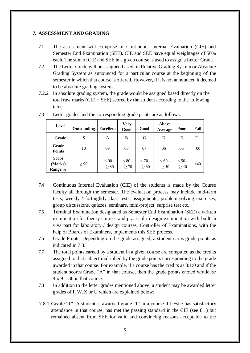#### **7. ASSESSMENT AND GRADING**

- 7.1 The assessment will comprise of Continuous Internal Evaluation (CIE) and Semester End Examination (SEE). CIE and SEE have equal weightages of 50% each. The sum of CIE and SEE in a given course is used to assign a Letter Grade.
- 7.2 The Letter Grade will be assigned based on Relative Grading System or Absolute Grading System as announced for a particular course at the beginning of the semester in which that course is offered. However, if it is not announced it deemed to be absolute grading system.
- 7.2.2 In absolute grading system, the grade would be assigned based directly on the total raw marks  $(CIE + SEE)$  scored by the student according to the following table:

| <b>Level</b>                       | Outstanding | <b>Excellent</b>      | <b>Very</b><br>Good   | Good                  | <b>Above</b><br>Average | Poor                  | Fail   |
|------------------------------------|-------------|-----------------------|-----------------------|-----------------------|-------------------------|-----------------------|--------|
| Grade                              | S           | A                     | B                     | $\mathbf C$           | D                       | E                     | F      |
| Grade<br><b>Points</b>             | 10          | 09                    | 08                    | 07                    | 06                      | 05                    | $00\,$ |
| <b>Score</b><br>(Marks)<br>Range % | $\geq 90$   | $< 90 -$<br>$\geq 80$ | $< 80 -$<br>$\geq 70$ | $< 70 -$<br>$\geq 60$ | $< 60 -$<br>$\geq 50$   | $< 50 -$<br>$\geq 40$ | $<$ 40 |

7.3 Letter grades and the corresponding grade prints are as follows:

- 7.4 Continuous Internal Evaluation (CIE) of the students is made by the Course faculty all through the semester. The evaluation process may include mid-term tests, weekly / fortnightly class tests, assignments, problem solving exercises, group discussions, quizzes, seminars, mini-project, surprise test etc.
- 7.5 Terminal Examination designated as Semester End Examination (SEE) a written examination for theory courses and practical / design examination with built-in viva part for laboratory / design courses. Controller of Examinations, with the help of Boards of Examiners, implements this SEE process.
- 7.6 Grade Points: Depending on the grade assigned, a student earns grade points as indicated in 7.3.
- 7.7 The total points earned by a student in a given course are computed as the credits assigned to that subject multiplied by the grade points corresponding to the grade awarded in that course. For example, if a course has the credits as 3:1:0 and if the student scores Grade "A" in that course, then the grade points earned would be  $4 \times 9 = 36$  in that course.
- 7.8 In addition to the letter grades mentioned above, a student may be awarded letter grades of I, W, X or U which are explained below:
- 7.8.1 **Grade "I"**: A student is awarded grade "I" in a course if he/she has satisfactory attendance in that course, has met the passing standard in the CIE (see 8.1) but remained absent from SEE for valid and convincing reasons acceptable to the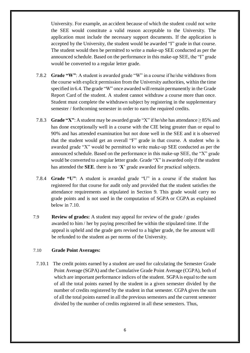University. For example, an accident because of which the student could not write the SEE would constitute a valid reason acceptable to the University. The application must include the necessary support documents. If the application is accepted by the University, the student would be awarded "I" grade in that course. The student would then be permitted to write a make-up SEE conducted as per the announced schedule. Based on the performance in this make-up SEE, the "I" grade would be converted to a regular letter grade.

- 7.8.2 **Grade "W"**: A student is awarded grade "W" in a course if he/she withdraws from the course with explicit permission from the University authorities, within the time specified in 6.4. The grade "W" once awarded will remain permanently in the Grade Report Card of the student. A student cannot withdraw a course more than once. Student must complete the withdrawn subject by registering in the supplementary semester / forthcoming semester in order to earn the required credits.
- 7.8.3 **Grade "X"**: Astudent may be awarded grade "X" if he/she has attendance ≥ 85% and has done exceptionally well in a course with the CIE being greater than or equal to 90% and has attended examination but not done well in the SEE and it is observed that the student would get an overall "F" grade in that course. A student who is awarded grade "X" would be permitted to write make-up SEE conducted as per the announced schedule. Based on the performance in this make-up SEE, the "X" grade would be converted to a regular letter grade. Grade "X" is awarded only if the student has attended the **SEE**. there is no '**X**' grade awarded for practical subjects.
- 7.8.4 **Grade "U"**: A student is awarded grade "U" in a course if the student has registered for that course for audit only and provided that the student satisfies the attendance requirements as stipulated in Section 9. This grade would carry no grade points and is not used in the computation of SGPA or CGPA as explained below in 7.10.
- 7.9 **Review of grades:** A student may appeal for review of the grade / grades awarded to him / her by paying prescribed fee within the stipulated time. If the appeal is upheld and the grade gets revised to a higher grade, the fee amount will be refunded to the student as per norms of the University.

#### 7.10 **Grade Point Averages:**

7.10.1 The credit points earned by a student are used for calculating the Semester Grade Point Average (SGPA) and the Cumulative Grade Point Average (CGPA), both of which are important performance indices of the student. SGPA is equal to the sum of all the total points earned by the student in a given semester divided by the number of credits registered by the student in that semester. CGPA gives the sum of all the total points earned in all the previous semesters and the current semester divided by the number of credits registered in all these semesters. Thus,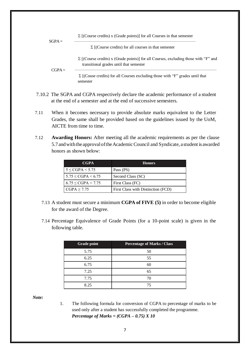

- 7.10.2 The SGPA and CGPA respectively declare the academic performance of a student at the end of a semester and at the end of successive semesters.
- 7.11 When it becomes necessary to provide absolute marks equivalent to the Letter Grades, the same shall be provided based on the guidelines issued by the UoM, AICTE from time to time.
- 7.12 **Awarding Honors:** After meeting all the academic requirements as per the clause 5.7andwiththe approvaloftheAcademicCouncil and Syndicate, a student is awarded honors as shown below:

| <b>CGPA</b>                | <b>Honors</b>                      |
|----------------------------|------------------------------------|
| $5 \leq CGPA \leq 5.75$    | Pass (PS)                          |
| $5.75 \leq CGPA \leq 6.75$ | Second Class (SC)                  |
| $6.75 \leq CGPA < 7.75$    | First Class (FC)                   |
| CGPA > 7.75                | First Class with Distinction (FCD) |

- 7.13 A student must secure a minimum **CGPA of FIVE (5)** in order to become eligible for the award of the Degree.
- 7.14 Percentage Equivalence of Grade Points (for a 10-point scale) is given in the following table.

| <b>Grade point</b> | <b>Percentage of Marks / Class</b> |
|--------------------|------------------------------------|
| 5.75               | 50                                 |
| 6.25               | 55                                 |
| 6.75               | 60                                 |
| 7.25               | 65                                 |
| 7.75               | 70                                 |
| 8.25               | 75                                 |

*Note:*

1. The following formula for conversion of CGPA to percentage of marks to be used only after a student has successfully completed the programme. *Percentage of Marks = (CGPA – 0.75) X 10*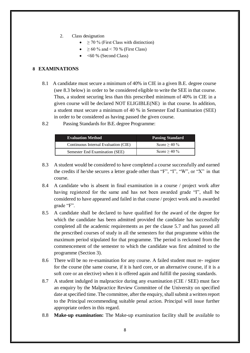- 2. Class designation
	- $\geq$  70 % (First Class with distinction)
	- $\geq 60$  % and < 70 % (First Class)
	- <60 % (Second Class)

# **8 EXAMINATIONS**

- 8.1 A candidate must secure a minimum of 40% in CIE in a given B.E. degree course (see 8.3 below) in order to be considered eligible to write the SEE in that course. Thus, a student securing less than this prescribed minimum of 40% in CIE in a given course will be declared NOT ELIGIBLE(NE) in that course. In addition, a student must secure a minimum of 40 % in Semester End Examination (SEE) in order to be considered as having passed the given course.
- 8.2 Passing Standards for B.E. degree Programme:

| <b>Evaluation Method</b>             | <b>Passing Standard</b> |  |
|--------------------------------------|-------------------------|--|
| Continuous Internal Evaluation (CIE) | Score $> 40\%$          |  |
| Semester End Examination (SEE)       | Score $> 40\%$          |  |

- 8.3 A student would be considered to have completed a course successfully and earned the credits if he/she secures a letter grade other than "F", "I", "W", or "X" in that course.
- 8.4 A candidate who is absent in final examination in a course / project work after having registered for the same and has not been awarded grade "I", shall be considered to have appeared and failed in that course / project work and is awarded grade "F".
- 8.5 A candidate shall be declared to have qualified for the award of the degree for which the candidate has been admitted provided the candidate has successfully completed all the academic requirements as per the clause 5.7 and has passed all the prescribed courses of study in all the semesters for that programme within the maximum period stipulated for that programme. The period is reckoned from the commencement of the semester to which the candidate was first admitted to the programme (Section 3).
- 8.6 There will be no re-examination for any course. A failed student must re- register for the course (the same course, if it is hard core, or an alternative course, if it is a soft core or an elective) when it is offered again and fulfill the passing standards.
- 8.7 A student indulged in malpractice during any examination (CIE / SEE) must face an enquiry by the Malpractice Review Committee of the University on specified date at specified time. The committee, after the enquiry, shall submit a written report to the Principal recommending suitable penal action. Principal will issue further appropriate orders in this regard.
- 8.8 **Make-up examination:** The Make-up examination facility shall be available to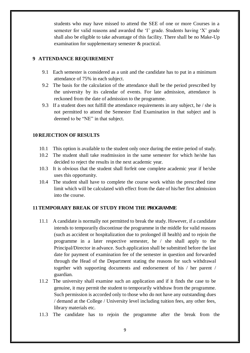students who may have missed to attend the SEE of one or more Courses in a semester for valid reasons and awarded the 'I' grade. Students having 'X' grade shall also be eligible to take advantage of this facility. There shall be no Make-Up examination for supplementary semester & practical.

# **9 ATTENDANCE REQUIREMENT**

- 9.1 Each semester is considered as a unit and the candidate has to put in a minimum attendance of 75% in each subject.
- 9.2 The basis for the calculation of the attendance shall be the period prescribed by the university by its calendar of events. For late admission, attendance is reckoned from the date of admission to the programme.
- 9.3 If a student does not fulfill the attendance requirements in any subject, he / she is not permitted to attend the Semester End Examination in that subject and is deemed to be "NE" in that subject.

# **10 REJECTION OF RESULTS**

- 10.1 This option is available to the student only once during the entire period of study.
- 10.2 The student shall take readmission in the same semester for which he/she has decided to reject the results in the next academic year.
- 10.3 It is obvious that the student shall forfeit one complete academic year if he/she uses this opportunity.
- 10.4 The student shall have to complete the course work within the prescribed time limit which will be calculated with effect from the date of his/her first admission into the course.

# **11TEMPORARY BREAK OF STUDY FROM THE PROGRAMME**

- 11.1 A candidate is normally not permitted to break the study. However, if a candidate intends to temporarily discontinue the programme in the middle for valid reasons (such as accident or hospitalization due to prolonged ill health) and to rejoin the programme in a later respective semester, he / she shall apply to the Principal/Director in advance. Such application shall be submitted before the last date for payment of examination fee of the semester in question and forwarded through the Head of the Department stating the reasons for such withdrawal together with supporting documents and endorsement of his / her parent / guardian.
- 11.2 The university shall examine such an application and if it finds the case to be genuine, it may permit the student to temporarily withdraw from the programme. Such permission is accorded only to those who do not have any outstanding dues / demand at the College / University level including tuition fees, any other fees, library materials etc.
- 11.3 The candidate has to rejoin the programme after the break from the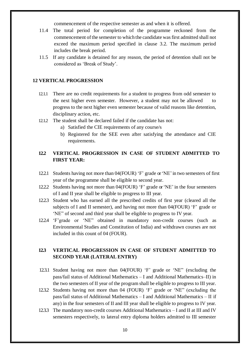commencement of the respective semester as and when it is offered.

- 11.4 The total period for completion of the programme reckoned from the commencement ofthe semester to which the candidate wasfirst admitted shall not exceed the maximum period specified in clause 3.2. The maximum period includes the break period.
- 11.5 If any candidate is detained for any reason, the period of detention shall not be considered as 'Break of Study'.

#### **12 VERTICAL PROGRESSION**

- 12.1.1 There are no credit requirements for a student to progress from odd semester to the next higher even semester. However, a student may not be allowed to progress to the next higher even semester because of valid reasons like detention, disciplinary action, etc.
- 12.1.2 The student shall be declared failed if the candidate has not:
	- a) Satisfied the CIE requirements of any course/s
	- b) Registered for the SEE even after satisfying the attendance and CIE requirements.

# **12.2 VERTICAL PROGRESSION IN CASE OF STUDENT ADMITTED TO FIRST YEAR:**

- 12.2.1 Students having not more than 04(FOUR) 'F' grade or'NE'in two semesters of first year of the programme shall be eligible to second year.
- 12.2.2 Students having not more than 04(FOUR) 'F' grade or'NE' in the four semesters of I and II year shall be eligible to progress to III year.
- 12.2.3 Student who has earned all the prescribed credits of first year (cleared all the subjects of I and II semester), and having not more than 04(FOUR) 'F' grade or 'NE" of second and third year shall be eligible to progress to IV year.
- 12.2.4 'F'grade or 'NE" obtained in mandatory non-credit courses (such as Environmental Studies and Constitution of India) and withdrawn courses are not included in this count of 04 (FOUR).

# **12.3 VERTICAL PROGRESSION IN CASE OF STUDENT ADMITTED TO SECOND YEAR (LATERAL ENTRY)**

- 12.3.1 Student having not more than 04(FOUR) 'F' grade or 'NE" (excluding the pass/fail status of Additional Mathematics – I and Additional Mathematics–II) in the two semesters of II year of the program shall be eligible to progress to III year.
- 12.3.2 Students having not more than 04 (FOUR) 'F' grade or 'NE" (excluding the pass/fail status of Additional Mathematics – I and Additional Mathematics – II if any) in the four semesters of II and III year shall be eligible to progress to IV year.
- 12.3.3 The mandatory non-credit courses Additional Mathematics I and II at III and IV semesters respectively, to lateral entry diploma holders admitted to III semester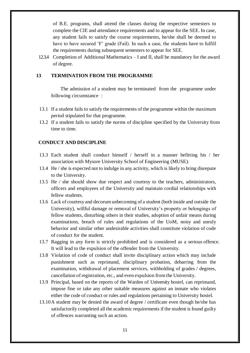of B.E. programs, shall attend the classes during the respective semesters to complete the CIE and attendance requirements and to appear for the SEE. In case, any student fails to satisfy the course requirements, he/she shall be deemed to have to have secured 'F' grade (Fail). In such a case, the students have to fulfill the requirements during subsequent semesters to appear for SEE.

12.3.4 Completion of Additional Mathematics – I and II, shall be mandatory for the award of degree.

#### **13 TERMINATION FROM THE PROGRAMME**

The admission of a student may be terminated from the programme under following circumstance :

- 13.1 If a student fails to satisfy the requirements of the programme within the maximum period stipulated for that programme.
- 13.2 If a student fails to satisfy the norms of discipline specified by the University from time to time.

#### **CONDUCT AND DISCIPLINE**

- 13.3 Each student shall conduct himself / herself in a manner befitting his / her association with Mysore University School of Engineering (MUSE).
- 13.4 He / she is expected not to indulge in any activity, which is likely to bring disrepute to the University.
- 13.5 He / she should show due respect and courtesy to the teachers, administrators, officers and employees of the University and maintain cordial relationships with fellow students.
- 13.6 Lack of courtesy and decorumunbecoming of a student (both inside and outside the University), willful damage or removal of University's property or belongings of fellow students, disturbing others in their studies, adoption of unfair means during examinations, breach of rules and regulations of the UoM, noisy and unruly behavior and similar other undesirable activities shall constitute violation of code of conduct for the student.
- 13.7 Ragging in any form is strictly prohibited and is considered as a serious offence. It will lead to the expulsion of the offender from the University.
- 13.8 Violation of code of conduct shall invite disciplinary action which may include punishment such as reprimand, disciplinary probation, debarring from the examination, withdrawal of placement services, withholding of grades / degrees, cancellation of registration, etc., and even expulsion from the University.
- 13.9 Principal, based on the reports of the Warden of University hostel, can reprimand, impose fine or take any other suitable measures against an inmate who violates either the code of conduct or rules and regulations pertaining to University hostel.
- 13.10A student may be denied the award of degree / certificate even though he/she has satisfactorily completed all the academic requirements if the student is found guilty of offences warranting such an action.